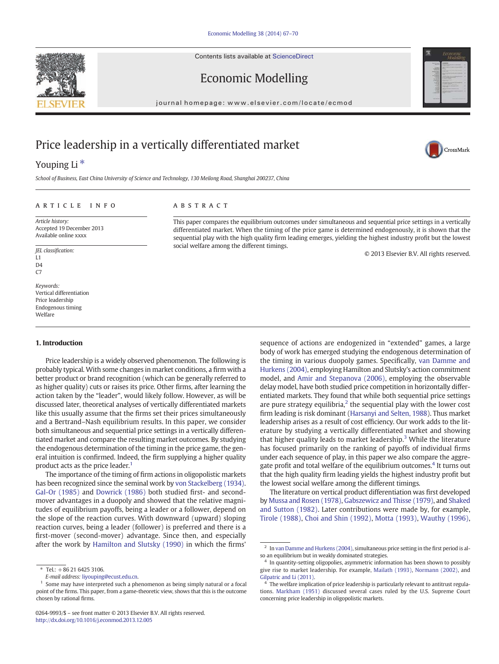Contents lists available at [ScienceDirect](http://www.sciencedirect.com/science/journal/02649993)





CrossMark

Economic Modelling

journal homepage: www.elsevier.com/locate/ecmod

## Price leadership in a vertically differentiated market

## Youping Li<sup>\*</sup>

School of Business, East China University of Science and Technology, 130 Meilong Road, Shanghai 200237, China

### article info abstract

Article history: Accepted 19 December 2013 Available online xxxx

JEL classification:  $I<sub>1</sub>$ D<sub>4</sub>  $C<sub>7</sub>$ 

Keywords: Vertical differentiation Price leadership Endogenous timing **Welfare** 

### 1. Introduction

Price leadership is a widely observed phenomenon. The following is probably typical. With some changes in market conditions, a firm with a better product or brand recognition (which can be generally referred to as higher quality) cuts or raises its price. Other firms, after learning the action taken by the "leader", would likely follow. However, as will be discussed later, theoretical analyses of vertically differentiated markets like this usually assume that the firms set their prices simultaneously and a Bertrand–Nash equilibrium results. In this paper, we consider both simultaneous and sequential price settings in a vertically differentiated market and compare the resulting market outcomes. By studying the endogenous determination of the timing in the price game, the general intuition is confirmed. Indeed, the firm supplying a higher quality product acts as the price leader.<sup>1</sup>

The importance of the timing of firm actions in oligopolistic markets has been recognized since the seminal work by von Stackelberg (1934). Gal-Or (1985) and Dowrick (1986) both studied first- and secondmover advantages in a duopoly and showed that the relative magnitudes of equilibrium payoffs, being a leader or a follower, depend on the slope of the reaction curves. With downward (upward) sloping reaction curves, being a leader (follower) is preferred and there is a first-mover (second-mover) advantage. Since then, and especially after the work by Hamilton and Slutsky (1990) in which the firms'

This paper compares the equilibrium outcomes under simultaneous and sequential price settings in a vertically differentiated market. When the timing of the price game is determined endogenously, it is shown that the sequential play with the high quality firm leading emerges, yielding the highest industry profit but the lowest social welfare among the different timings.

© 2013 Elsevier B.V. All rights reserved.

sequence of actions are endogenized in "extended" games, a large body of work has emerged studying the endogenous determination of the timing in various duopoly games. Specifically, van Damme and Hurkens (2004), employing Hamilton and Slutsky's action commitment model, and Amir and Stepanova (2006), employing the observable delay model, have both studied price competition in horizontally differentiated markets. They found that while both sequential price settings are pure strategy equilibria, $<sup>2</sup>$  the sequential play with the lower cost</sup> firm leading is risk dominant (Harsanyi and Selten, 1988). Thus market leadership arises as a result of cost efficiency. Our work adds to the literature by studying a vertically differentiated market and showing that higher quality leads to market leadership.<sup>3</sup> While the literature has focused primarily on the ranking of payoffs of individual firms under each sequence of play, in this paper we also compare the aggregate profit and total welfare of the equilibrium outcomes.<sup>4</sup> It turns out that the high quality firm leading yields the highest industry profit but the lowest social welfare among the different timings.

The literature on vertical product differentiation was first developed by Mussa and Rosen (1978), Gabszewicz and Thisse (1979), and Shaked and Sutton (1982). Later contributions were made by, for example, Tirole (1988), Choi and Shin (1992), Motta (1993), Wauthy (1996),

 $*$  Tel.: +86 21 6425 3106.

E-mail address: [liyouping@ecust.edu.cn](mailto:liyouping@ecust.edu.cn).

Some may have interpreted such a phenomenon as being simply natural or a focal point of the firms. This paper, from a game-theoretic view, shows that this is the outcome chosen by rational firms.

 $2\;$  In [van Damme and Hurkens \(2004\),](#page--1-0) simultaneous price setting in the first period is also an equilibrium but in weakly dominated strategies.

<sup>&</sup>lt;sup>4</sup> In quantity-setting oligopolies, asymmetric information has been shown to possibly give rise to market leadership. For example, [Mailath \(1993\),](#page--1-0) [Normann \(2002\),](#page--1-0) and [Gilpatric and Li \(2011\).](#page--1-0)

The welfare implication of price leadership is particularly relevant to antitrust regulations. [Markham \(1951\)](#page--1-0) discussed several cases ruled by the U.S. Supreme Court concerning price leadership in oligopolistic markets.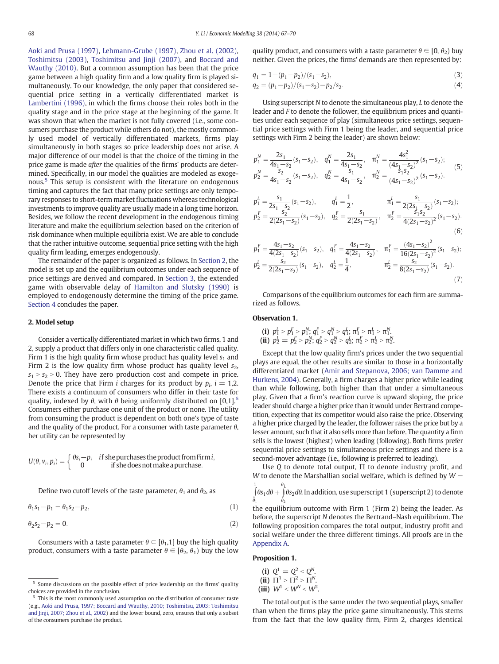Aoki and Prusa (1997), Lehmann-Grube (1997), Zhou et al. (2002), Toshimitsu (2003), Toshimitsu and Jinji (2007), and Boccard and Wauthy (2010). But a common assumption has been that the price game between a high quality firm and a low quality firm is played simultaneously. To our knowledge, the only paper that considered sequential price setting in a vertically differentiated market is Lambertini (1996), in which the firms choose their roles both in the quality stage and in the price stage at the beginning of the game. It was shown that when the market is not fully covered (i.e., some consumers purchase the product while others do not), the mostly commonly used model of vertically differentiated markets, firms play simultaneously in both stages so price leadership does not arise. A major difference of our model is that the choice of the timing in the price game is made after the qualities of the firms' products are determined. Specifically, in our model the qualities are modeled as exogenous.<sup>5</sup> This setup is consistent with the literature on endogenous timing and captures the fact that many price settings are only temporary responses to short-term market fluctuations whereas technological investments to improve quality are usually made in a long time horizon. Besides, we follow the recent development in the endogenous timing literature and make the equilibrium selection based on the criterion of risk dominance when multiple equilibria exist. We are able to conclude that the rather intuitive outcome, sequential price setting with the high quality firm leading, emerges endogenously.

The remainder of the paper is organized as follows. In Section 2, the model is set up and the equilibrium outcomes under each sequence of price settings are derived and compared. In Section 3, the extended game with observable delay of Hamilton and Slutsky (1990) is employed to endogenously determine the timing of the price game. Section 4 concludes the paper.

### 2. Model setup

Consider a vertically differentiated market in which two firms, 1 and 2, supply a product that differs only in one characteristic called quality. Firm 1 is the high quality firm whose product has quality level  $s_1$  and Firm 2 is the low quality firm whose product has quality level  $s_2$ ,  $s_1 > s_2 > 0$ . They have zero production cost and compete in price. Denote the price that Firm *i* charges for its product by  $p_i$ ,  $i = 1,2$ . There exists a continuum of consumers who differ in their taste for quality, indexed by  $\theta$ , with  $\theta$  being uniformly distributed on [0,1].<sup>6</sup> Consumers either purchase one unit of the product or none. The utility from consuming the product is dependent on both one's type of taste and the quality of the product. For a consumer with taste parameter  $\theta$ , her utility can be represented by

$$
U(\theta, v_i, p_i) = \begin{cases} \theta s_i - p_i & \text{if she purchases the product from Firm } i, \\ 0 & \text{if she does not make a purchase.} \end{cases}
$$

Define two cutoff levels of the taste parameter,  $\theta_1$  and  $\theta_2$ , as

$$
\theta_1 s_1 - p_1 = \theta_1 s_2 - p_2,\tag{1}
$$

$$
\theta_2 s_2 - p_2 = 0. \tag{2}
$$

Consumers with a taste parameter  $\theta \in [\theta_1,1]$  buy the high quality product, consumers with a taste parameter  $\theta \in [\theta_2, \theta_1)$  buy the low quality product, and consumers with a taste parameter  $\theta \in [0, \theta_2)$  buy neither. Given the prices, the firms' demands are then represented by:

$$
q_1 = 1 - (p_1 - p_2)/(s_1 - s_2),\tag{3}
$$

$$
q_2 = (p_1 - p_2)/(s_1 - s_2) - p_2/s_2.
$$
\n<sup>(4)</sup>

Using superscript N to denote the simultaneous play, L to denote the leader and F to denote the follower, the equilibrium prices and quantities under each sequence of play (simultaneous price settings, sequential price settings with Firm 1 being the leader, and sequential price settings with Firm 2 being the leader) are shown below:

$$
p_1^N = \frac{2s_1}{4s_1 - s_2}(s_1 - s_2), \quad q_1^N = \frac{2s_1}{4s_1 - s_2}, \quad \pi_1^N = \frac{4s_1^2}{(4s_1 - s_2)^2}(s_1 - s_2);
$$
  
\n
$$
p_2^N = \frac{s_2}{4s_1 - s_2}(s_1 - s_2), \quad q_2^N = \frac{s_1}{4s_1 - s_2}, \quad \pi_2^N = \frac{s_1 s_2}{(4s_1 - s_2)^2}(s_1 - s_2).
$$
\n(5)

$$
p_1^L = \frac{s_1}{2s_1 - s_2}(s_1 - s_2), \qquad q_1^L = \frac{1}{2}, \qquad \pi_1^L = \frac{s_1}{2(2s_1 - s_2)}(s_1 - s_2);
$$
  
\n
$$
p_2^F = \frac{s_2}{2(2s_1 - s_2)}(s_1 - s_2), \quad q_2^F = \frac{s_1}{2(2s_1 - s_2)}, \quad \pi_2^F = \frac{s_1 s_2}{4(2s_1 - s_2)^2}(s_1 - s_2).
$$
  
\n(6)

$$
p_1^F = \frac{4s_1 - s_2}{4(2s_1 - s_2)} (s_1 - s_2), \quad q_1^F = \frac{4s_1 - s_2}{4(2s_1 - s_2)}, \quad \pi_1^F = \frac{(4s_1 - s_2)^2}{16(2s_1 - s_2)^2} (s_1 - s_2);
$$
  
\n
$$
p_2^L = \frac{s_2}{2(2s_1 - s_2)} (s_1 - s_2), \quad q_2^L = \frac{1}{4}, \qquad \pi_2^L = \frac{s_2}{8(2s_1 - s_2)} (s_1 - s_2).
$$
  
\n(7)

Comparisons of the equilibrium outcomes for each firm are summarized as follows.

### Observation 1.

(i) 
$$
p_1^L > p_1^F > p_1^N
$$
;  $q_1^F > q_1^N > q_1^L$ ;  $\pi_1^F > \pi_1^L > \pi_1^N$ .  
\n(ii)  $p_2^L = p_2^F > p_2^N$ ;  $q_2^F > q_2^N > q_2^L$ ;  $\pi_2^F > \pi_2^L > \pi_2^N$ .

Except that the low quality firm's prices under the two sequential plays are equal, the other results are similar to those in a horizontally differentiated market [\(Amir and Stepanova, 2006; van Damme and](#page--1-0) [Hurkens, 2004\)](#page--1-0). Generally, a firm charges a higher price while leading than while following, both higher than that under a simultaneous play. Given that a firm's reaction curve is upward sloping, the price leader should charge a higher price than it would under Bertrand competition, expecting that its competitor would also raise the price. Observing a higher price charged by the leader, the follower raises the price but by a lesser amount, such that it also sells more than before. The quantity a firm sells is the lowest (highest) when leading (following). Both firms prefer sequential price settings to simultaneous price settings and there is a second-mover advantage (i.e., following is preferred to leading).

Use Q to denote total output, Π to denote industry profit, and W to denote the Marshallian social welfare, which is defined by  $W =$ 1  $\theta_1$ 

 $\int \theta s_1 d\theta + \int$  $\theta_1$  $\theta$ <sub>2</sub>  $\theta$ s<sub>2</sub>d $\theta$ . In addition, use superscript 1 (superscript 2) to denote

the equilibrium outcome with Firm 1 (Firm 2) being the leader. As before, the superscript N denotes the Bertrand–Nash equilibrium. The following proposition compares the total output, industry profit and social welfare under the three different timings. All proofs are in the Appendix A.

### Proposition 1.

(i)  $Q^1 = Q^2 < Q^N$ . (ii)  $\Pi^1 > \Pi^2 > \Pi^N$ . (iii)  $W^1 \le W^N \le W^2$ .

The total output is the same under the two sequential plays, smaller than when the firms play the price game simultaneously. This stems from the fact that the low quality firm, Firm 2, charges identical

<sup>&</sup>lt;sup>5</sup> Some discussions on the possible effect of price leadership on the firms' quality choices are provided in the conclusion.

 $6$  This is the most commonly used assumption on the distribution of consumer taste (e.g., [Aoki and Prusa, 1997; Boccard and Wauthy, 2010; Toshimitsu, 2003; Toshimitsu](#page--1-0) [and Jinji, 2007; Zhou et al., 2002](#page--1-0)) and the lower bound, zero, ensures that only a subset of the consumers purchase the product.